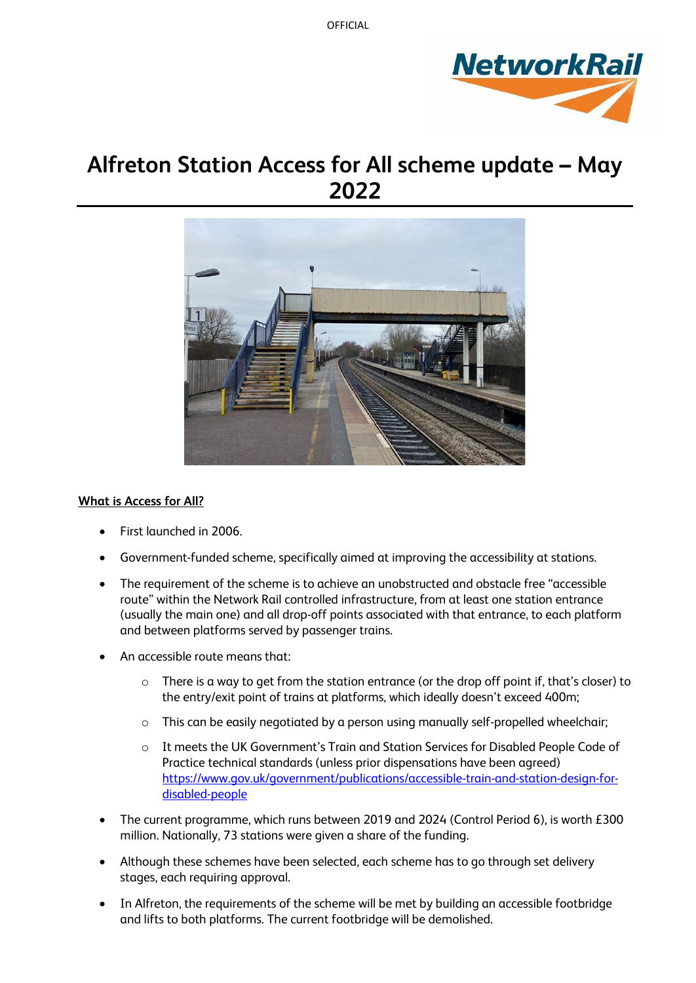

# **Alfreton Station Access for All scheme update – May 2022**



## **What is Access for All?**

- First launched in 2006.
- Government-funded scheme, specifically aimed at improving the accessibility at stations.
- The requirement of the scheme is to achieve an unobstructed and obstacle free "accessible" route" within the Network Rail controlled infrastructure, from at least one station entrance (usually the main one) and all drop-off points associated with that entrance, to each platform and between platforms served by passenger trains.
- An accessible route means that:
	- o There is a way to get from the station entrance (or the drop off point if, that's closer) to the entry/exit point of trains at platforms, which ideally doesn't exceed 400m;
	- o This can be easily negotiated by a person using manually self-propelled wheelchair;
	- o It meets the UK Government's Train and Station Services for Disabled People Code of Practice technical standards (unless prior dispensations have been agreed) [https://www.gov.uk/government/publications/accessible-train-and-station-design-for](https://www.gov.uk/government/publications/accessible-train-and-station-design-for-disabled-people)[disabled-people](https://www.gov.uk/government/publications/accessible-train-and-station-design-for-disabled-people)
- The current programme, which runs between 2019 and 2024 (Control Period 6), is worth £300 million. Nationally, 73 stations were given a share of the funding.
- Although these schemes have been selected, each scheme has to go through set delivery stages, each requiring approval.
- In Alfreton, the requirements of the scheme will be met by building an accessible footbridge and lifts to both platforms. The current footbridge will be demolished.